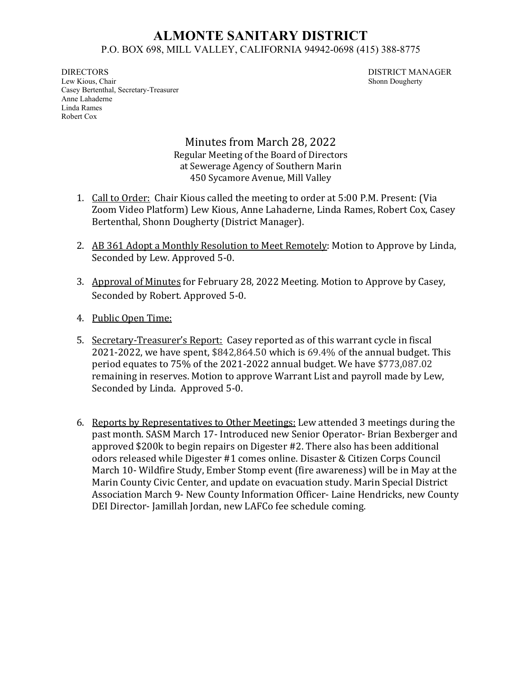## **ALMONTE SANITARY DISTRICT** P.O. BOX 698, MILL VALLEY, CALIFORNIA 94942-0698 (415) 388-8775

DIRECTORS DISTRICT MANAGER Lew Kious, Chair Shonn Dougherty Casey Bertenthal, Secretary-Treasurer Anne Lahaderne Linda Rames Robert Cox

Minutes from March 28, 2022 Regular Meeting of the Board of Directors at Sewerage Agency of Southern Marin 450 Sycamore Avenue, Mill Valley

- 1. Call to Order: Chair Kious called the meeting to order at 5:00 P.M. Present: (Via Zoom Video Platform) Lew Kious, Anne Lahaderne, Linda Rames, Robert Cox, Casey Bertenthal, Shonn Dougherty (District Manager).
- 2. AB 361 Adopt a Monthly Resolution to Meet Remotely: Motion to Approve by Linda, Seconded by Lew. Approved 5-0.
- 3. Approval of Minutes for February 28, 2022 Meeting. Motion to Approve by Casey, Seconded by Robert. Approved 5-0.
- 4. Public Open Time:
- 5. Secretary-Treasurer's Report: Casey reported as of this warrant cycle in fiscal 2021-2022, we have spent, \$842,864.50 which is 69.4% of the annual budget. This period equates to 75% of the 2021-2022 annual budget. We have \$773,087.02 remaining in reserves. Motion to approve Warrant List and payroll made by Lew, Seconded by Linda. Approved 5-0.
- 6. Reports by Representatives to Other Meetings: Lew attended 3 meetings during the past month. SASM March 17- Introduced new Senior Operator- Brian Bexberger and approved \$200k to begin repairs on Digester #2. There also has been additional odors released while Digester #1 comes online. Disaster & Citizen Corps Council March 10- Wildfire Study, Ember Stomp event (fire awareness) will be in May at the Marin County Civic Center, and update on evacuation study. Marin Special District Association March 9- New County Information Officer- Laine Hendricks, new County DEI Director- Jamillah Jordan, new LAFCo fee schedule coming.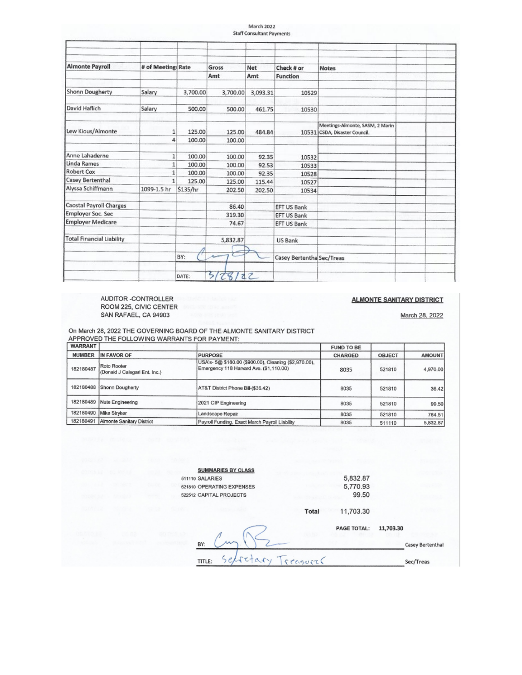|                                  |                    |          |          | March 2022<br><b>Staff Consultant Payments</b> |                           |                                                                  |  |
|----------------------------------|--------------------|----------|----------|------------------------------------------------|---------------------------|------------------------------------------------------------------|--|
|                                  |                    |          |          |                                                |                           |                                                                  |  |
|                                  |                    |          |          |                                                |                           |                                                                  |  |
|                                  |                    |          |          |                                                |                           |                                                                  |  |
| <b>Almonte Payroll</b>           | # of Meeting: Rate |          | Gross    | Net                                            | Check # or                | <b>Notes</b>                                                     |  |
|                                  |                    |          | Amt      | Amt                                            | <b>Function</b>           |                                                                  |  |
| Shonn Dougherty                  | Salary             | 3,700.00 | 3,700.00 | 3,093.31                                       | 10529                     |                                                                  |  |
| David Haflich                    | Salary             | 500.00   | 500.00   | 461.75                                         | 10530                     |                                                                  |  |
| Lew Kious/Almonte                | $\mathbf{1}$       | 125.00   | 125.00   | 484.84                                         |                           | Meetings-Almonte, SASM, 2 Marin<br>10531 CSDA, Disaster Council. |  |
|                                  | 4                  | 100.00   | 100.00   |                                                |                           |                                                                  |  |
| Anne Lahaderne                   | $\mathbf{1}$       | 100.00   | 100.00   | 92.35                                          | 10532                     |                                                                  |  |
| <b>Linda Rames</b>               | $\mathbf{1}$       | 100.00   | 100.00   | 92.53                                          | 10533                     |                                                                  |  |
| <b>Robert Cox</b>                | $\mathbf{1}$       | 100.00   | 100.00   | 92.35                                          | 10528                     |                                                                  |  |
| Casey Bertenthal                 | 1                  | 125.00   | 125.00   | 115.44                                         | 10527                     |                                                                  |  |
| Alyssa Schiffmann                | 1099-1.5 hr        | \$135/hr | 202.50   | 202.50                                         | 10534                     |                                                                  |  |
| <b>Caostal Payroll Charges</b>   |                    |          | 86.40    |                                                | EFT US Bank               |                                                                  |  |
| <b>Employer Soc. Sec</b>         |                    |          | 319.30   |                                                | <b>EFT US Bank</b>        |                                                                  |  |
| <b>Employer Medicare</b>         |                    |          | 74.67    |                                                | <b>EFT US Bank</b>        |                                                                  |  |
| <b>Total Financial Liability</b> |                    |          | 5,832.87 |                                                | <b>US Bank</b>            |                                                                  |  |
|                                  |                    | BY:      |          |                                                | Casey Bertentha Sec/Treas |                                                                  |  |
|                                  |                    | DATE:    | S        | 22                                             |                           |                                                                  |  |

AUDITOR -CONTROLLER<br>ROOM 225, CIVIC CENTER<br>SAN RAFAEL, CA 94903

## **ALMONTE SANITARY DISTRICT**

March 28, 2022

On March 28, 2022 THE GOVERNING BOARD OF THE ALMONTE SANITARY DISTRICT APPROVED THE FOLLOWING WARRANTS FOR PAYMENT:

| <b>WARRANT</b> |                                              |                                                                                                  | <b>FUND TO BE</b> |               |               |
|----------------|----------------------------------------------|--------------------------------------------------------------------------------------------------|-------------------|---------------|---------------|
| <b>NUMBER</b>  | IN FAVOR OF                                  | <b>PURPOSE</b>                                                                                   | CHARGED           | <b>OBJECT</b> | <b>AMOUNT</b> |
| 182180487      | Roto Rooter<br>(Donald J Calegari Ent. Inc.) | USA's- 5@ \$180.00 (\$900.00), Cleaning (\$2,970.00),<br>Emergency 118 Harvard Ave. (\$1,110.00) | 8035              | 521810        | 4,970.00      |
| 182180488      | Shonn Dougherty                              | AT&T District Phone Bill-(\$36.42)                                                               | 8035              | 521810        | 36.42         |
| 182180489      | Nute Engineering                             | 2021 CIP Engineering                                                                             | 8035              | 521810        | 99.50         |
| 182180490      | Mike Stryker                                 | Landscape Repair                                                                                 | 8035              | 521810        | 764.51        |
| 182180491      | Almonte Sanitary District                    | Payroll Funding, Exact March Payroll Liability                                                   | 8035              | 511110        | 5,832.87      |

| <b>SUMMARIES BY CLASS</b>  |       |                    |           |                  |
|----------------------------|-------|--------------------|-----------|------------------|
| 511110 SALARIES            |       | 5,832.87           |           |                  |
| 521810 OPERATING EXPENSES  |       | 5,770.93           |           |                  |
| 522512 CAPITAL PROJECTS    |       | 99.50              |           |                  |
|                            | Total | 11,703.30          |           |                  |
|                            |       | <b>PAGE TOTAL:</b> | 11,703.30 |                  |
| BY:                        |       |                    |           | Casey Bertenthal |
| retary Treasurer<br>TITLE: |       |                    |           | Sec/Treas        |